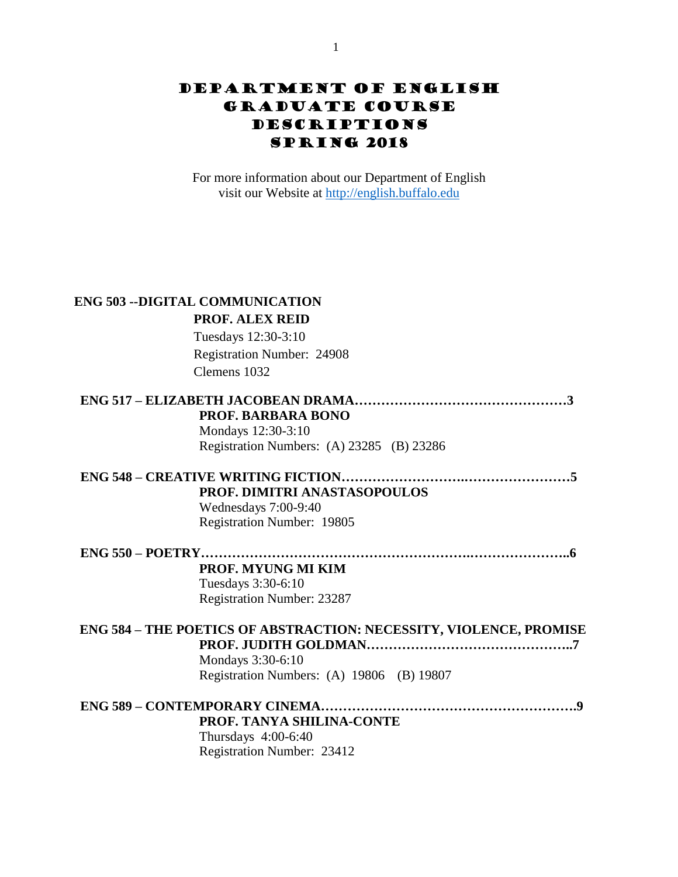## Department of English Graduate course Descriptions **SPRING 2018**

For more information about our Department of English visit our Website at [http://english.buffalo.edu](http://english.buffalo.edu/)

|                    | <b>ENG 503 --DIGITAL COMMUNICATION</b>                             |
|--------------------|--------------------------------------------------------------------|
|                    | <b>PROF. ALEX REID</b>                                             |
|                    | Tuesdays 12:30-3:10                                                |
|                    | Registration Number: 24908                                         |
|                    | Clemens 1032                                                       |
|                    |                                                                    |
|                    | PROF. BARBARA BONO                                                 |
|                    | Mondays 12:30-3:10                                                 |
|                    | Registration Numbers: (A) 23285 (B) 23286                          |
|                    |                                                                    |
|                    | PROF. DIMITRI ANASTASOPOULOS                                       |
|                    | Wednesdays 7:00-9:40                                               |
|                    | Registration Number: 19805                                         |
| $ENG$ 550 – POETRY |                                                                    |
|                    | PROF. MYUNG MI KIM                                                 |
|                    | Tuesdays 3:30-6:10                                                 |
|                    | <b>Registration Number: 23287</b>                                  |
|                    | ENG 584 - THE POETICS OF ABSTRACTION: NECESSITY, VIOLENCE, PROMISE |
|                    |                                                                    |
|                    | Mondays 3:30-6:10                                                  |
|                    | Registration Numbers: (A) 19806 (B) 19807                          |
|                    |                                                                    |
|                    | PROF. TANYA SHILINA-CONTE                                          |
|                    | Thursdays 4:00-6:40                                                |
|                    | Registration Number: 23412                                         |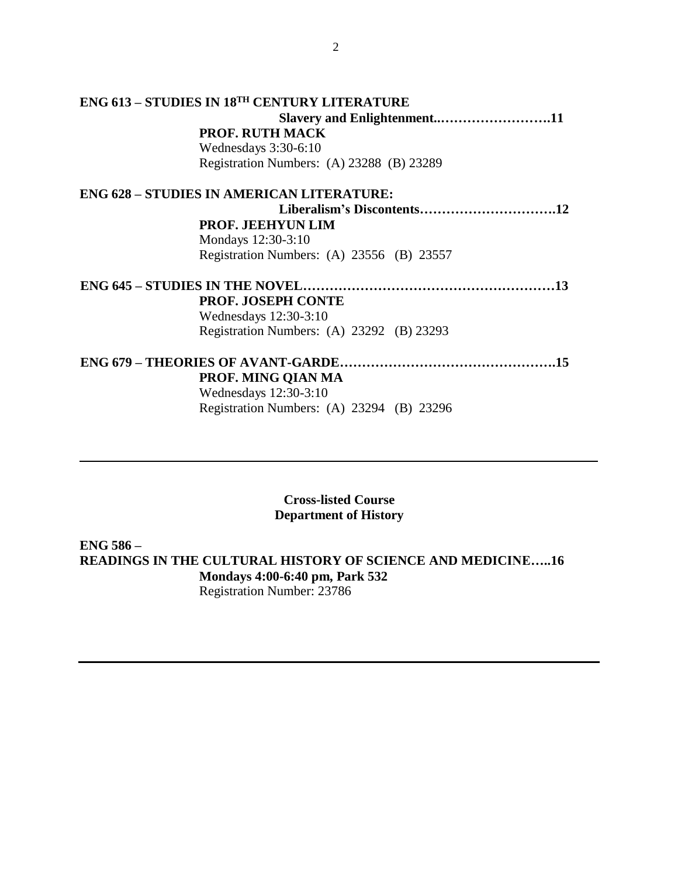| ENG 613 – STUDIES IN 18 <sup>th</sup> CENTURY LITERATURE |  |
|----------------------------------------------------------|--|
|                                                          |  |
| <b>PROF. RUTH MACK</b>                                   |  |
| Wednesdays 3:30-6:10                                     |  |
| Registration Numbers: (A) 23288 (B) 23289                |  |
| ENG 628 – STUDIES IN AMERICAN LITERATURE:                |  |
|                                                          |  |
| <b>PROF. JEEHYUN LIM</b>                                 |  |
| Mondays 12:30-3:10                                       |  |
| Registration Numbers: (A) 23556 (B) 23557                |  |
|                                                          |  |
| PROF. JOSEPH CONTE                                       |  |
| Wednesdays $12:30-3:10$                                  |  |
| Registration Numbers: (A) 23292 (B) 23293                |  |
|                                                          |  |
| PROF. MING QIAN MA                                       |  |
| Wednesdays 12:30-3:10                                    |  |
| Registration Numbers: (A) 23294 (B) 23296                |  |

**Cross-listed Course Department of History**

**ENG 586 – READINGS IN THE CULTURAL HISTORY OF SCIENCE AND MEDICINE…..16 Mondays 4:00-6:40 pm, Park 532** Registration Number: 23786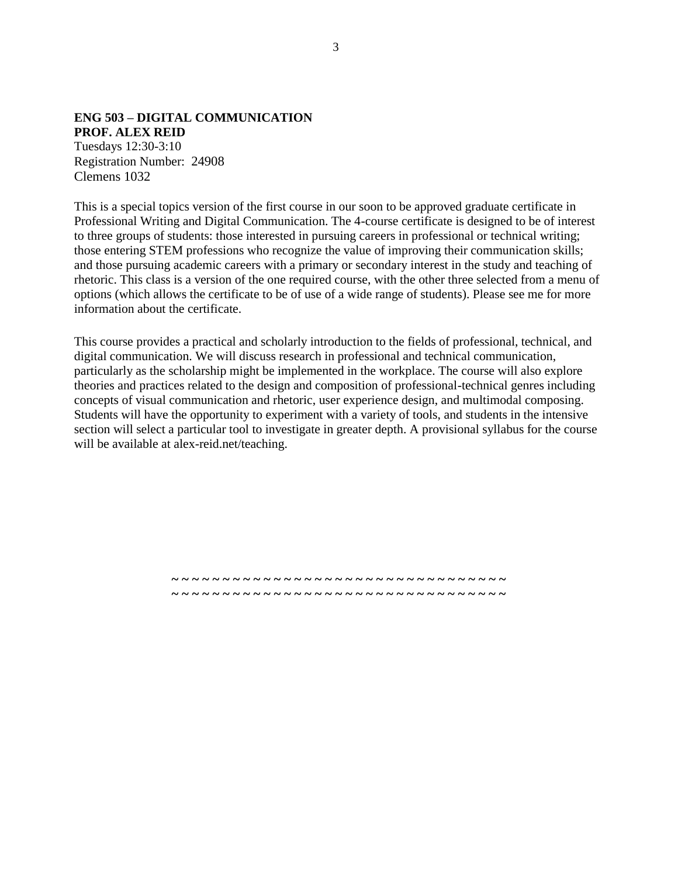## **ENG 503 – DIGITAL COMMUNICATION PROF. ALEX REID**

Tuesdays 12:30-3:10 Registration Number: 24908 Clemens 1032

This is a special topics version of the first course in our soon to be approved graduate certificate in Professional Writing and Digital Communication. The 4-course certificate is designed to be of interest to three groups of students: those interested in pursuing careers in professional or technical writing; those entering STEM professions who recognize the value of improving their communication skills; and those pursuing academic careers with a primary or secondary interest in the study and teaching of rhetoric. This class is a version of the one required course, with the other three selected from a menu of options (which allows the certificate to be of use of a wide range of students). Please see me for more information about the certificate.

This course provides a practical and scholarly introduction to the fields of professional, technical, and digital communication. We will discuss research in professional and technical communication, particularly as the scholarship might be implemented in the workplace. The course will also explore theories and practices related to the design and composition of professional-technical genres including concepts of visual communication and rhetoric, user experience design, and multimodal composing. Students will have the opportunity to experiment with a variety of tools, and students in the intensive section will select a particular tool to investigate in greater depth. A provisional syllabus for the course will be available at alex-reid.net/teaching.

> **~ ~ ~ ~ ~ ~ ~ ~ ~ ~ ~ ~ ~ ~ ~ ~ ~ ~ ~ ~ ~ ~ ~ ~ ~ ~ ~ ~ ~ ~ ~ ~ ~ ~ ~ ~ ~ ~ ~ ~ ~ ~ ~ ~ ~ ~ ~ ~ ~ ~ ~ ~ ~ ~ ~ ~ ~ ~ ~ ~ ~ ~ ~ ~ ~ ~**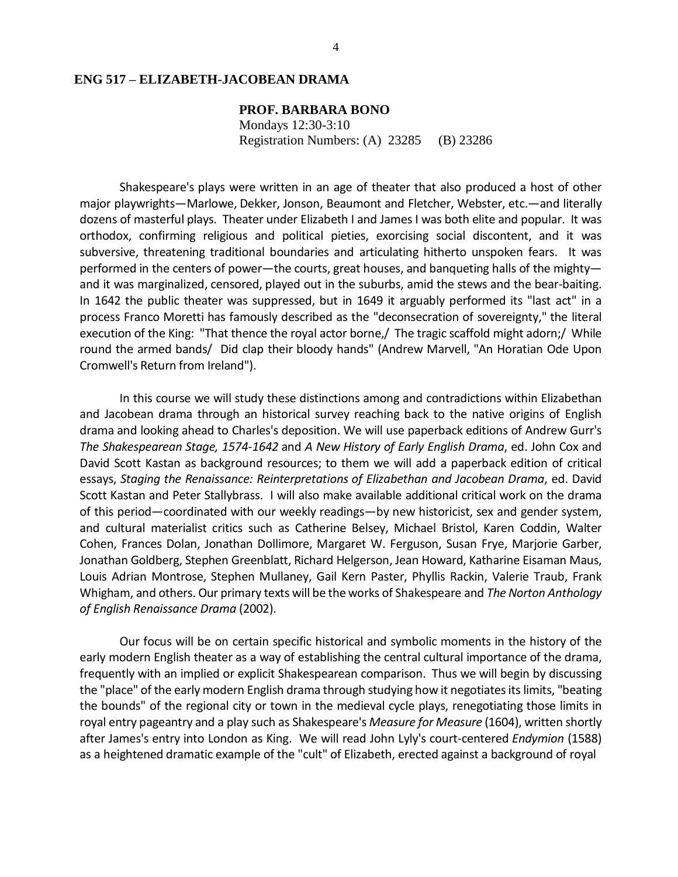#### **ENG 517 – ELIZABETH-JACOBEAN DRAMA**

# **PROF. BARBARA BONO**

Mondays 12:30-3:10 Registration Numbers: (A) 23285 (B) 23286

Shakespeare's plays were written in an age of theater that also produced a host of other major playwrights—Marlowe, Dekker, Jonson, Beaumont and Fletcher, Webster, etc.—and literally dozens of masterful plays. Theater under Elizabeth I and James I was both elite and popular. It was orthodox, confirming religious and political pieties, exorcising social discontent, and it was subversive, threatening traditional boundaries and articulating hitherto unspoken fears. It was performed in the centers of power—the courts, great houses, and banqueting halls of the mighty and it was marginalized, censored, played out in the suburbs, amid the stews and the bear-baiting. In 1642 the public theater was suppressed, but in 1649 it arguably performed its "last act" in a process Franco Moretti has famously described as the "deconsecration of sovereignty," the literal execution of the King: "That thence the royal actor borne,/ The tragic scaffold might adorn;/ While round the armed bands/ Did clap their bloody hands" (Andrew Marvell, "An Horatian Ode Upon Cromwell's Return from Ireland").

In this course we will study these distinctions among and contradictions within Elizabethan and Jacobean drama through an historical survey reaching back to the native origins of English drama and looking ahead to Charles's deposition. We will use paperback editions of Andrew Gurr's *The Shakespearean Stage, 1574-1642* and *A New History of Early English Drama*, ed. John Cox and David Scott Kastan as background resources; to them we will add a paperback edition of critical essays, *Staging the Renaissance: Reinterpretations of Elizabethan and Jacobean Drama*, ed. David Scott Kastan and Peter Stallybrass. I will also make available additional critical work on the drama of this period—coordinated with our weekly readings—by new historicist, sex and gender system, and cultural materialist critics such as Catherine Belsey, Michael Bristol, Karen Coddin, Walter Cohen, Frances Dolan, Jonathan Dollimore, Margaret W. Ferguson, Susan Frye, Marjorie Garber, Jonathan Goldberg, Stephen Greenblatt, Richard Helgerson, Jean Howard, Katharine Eisaman Maus, Louis Adrian Montrose, Stephen Mullaney, Gail Kern Paster, Phyllis Rackin, Valerie Traub, Frank Whigham, and others. Our primary texts will be the works of Shakespeare and *The Norton Anthology of English Renaissance Drama* (2002).

Our focus will be on certain specific historical and symbolic moments in the history of the early modern English theater as a way of establishing the central cultural importance of the drama, frequently with an implied or explicit Shakespearean comparison. Thus we will begin by discussing the "place" of the early modern English drama through studying how it negotiatesitslimits, "beating the bounds" of the regional city or town in the medieval cycle plays, renegotiating those limits in royal entry pageantry and a play such as Shakespeare's *Measure for Measure* (1604), written shortly after James's entry into London as King. We will read John Lyly's court-centered *Endymion* (1588) as a heightened dramatic example of the "cult" of Elizabeth, erected against a background of royal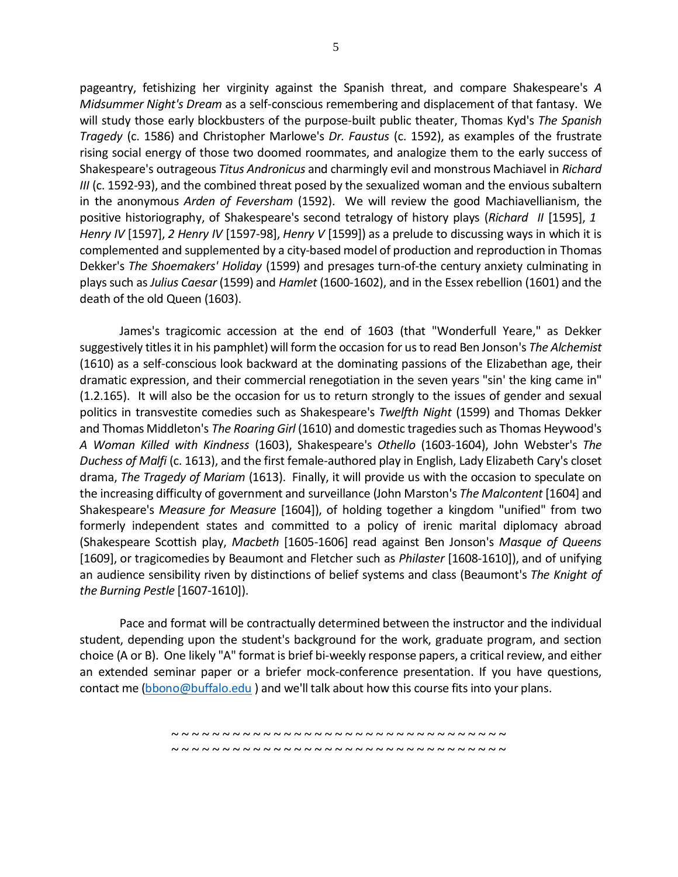pageantry, fetishizing her virginity against the Spanish threat, and compare Shakespeare's *A Midsummer Night's Dream* as a self-conscious remembering and displacement of that fantasy. We will study those early blockbusters of the purpose-built public theater, Thomas Kyd's *The Spanish Tragedy* (c. 1586) and Christopher Marlowe's *Dr. Faustus* (c. 1592), as examples of the frustrate rising social energy of those two doomed roommates, and analogize them to the early success of Shakespeare's outrageous *Titus Andronicus* and charmingly evil and monstrous Machiavel in *Richard III* (c. 1592-93), and the combined threat posed by the sexualized woman and the envious subaltern in the anonymous *Arden of Feversham* (1592). We will review the good Machiavellianism, the positive historiography, of Shakespeare's second tetralogy of history plays (*Richard II* [1595], *1 Henry IV* [1597], *2 Henry IV* [1597-98], *Henry V* [1599]) as a prelude to discussing ways in which it is complemented and supplemented by a city-based model of production and reproduction in Thomas Dekker's *The Shoemakers' Holiday* (1599) and presages turn-of-the century anxiety culminating in playssuch as *Julius Caesar* (1599) and *Hamlet* (1600-1602), and in the Essex rebellion (1601) and the death of the old Queen (1603).

James's tragicomic accession at the end of 1603 (that "Wonderfull Yeare," as Dekker suggestively titlesit in his pamphlet) will form the occasion for usto read Ben Jonson's *The Alchemist*  (1610) as a self-conscious look backward at the dominating passions of the Elizabethan age, their dramatic expression, and their commercial renegotiation in the seven years "sin' the king came in" (1.2.165). It will also be the occasion for us to return strongly to the issues of gender and sexual politics in transvestite comedies such as Shakespeare's *Twelfth Night* (1599) and Thomas Dekker and Thomas Middleton's *The Roaring Girl* (1610) and domestic tragediessuch as Thomas Heywood's *A Woman Killed with Kindness* (1603), Shakespeare's *Othello* (1603-1604), John Webster's *The Duchess of Malfi* (c. 1613), and the first female-authored play in English, Lady Elizabeth Cary's closet drama, *The Tragedy of Mariam* (1613). Finally, it will provide us with the occasion to speculate on the increasing difficulty of government and surveillance (John Marston's *The Malcontent* [1604] and Shakespeare's *Measure for Measure* [1604]), of holding together a kingdom "unified" from two formerly independent states and committed to a policy of irenic marital diplomacy abroad (Shakespeare Scottish play, *Macbeth* [1605-1606] read against Ben Jonson's *Masque of Queens*  [1609], or tragicomedies by Beaumont and Fletcher such as *Philaster* [1608-1610]), and of unifying an audience sensibility riven by distinctions of belief systems and class (Beaumont's *The Knight of the Burning Pestle* [1607-1610]).

Pace and format will be contractually determined between the instructor and the individual student, depending upon the student's background for the work, graduate program, and section choice (A or B). One likely "A" format is brief bi-weekly response papers, a critical review, and either an extended seminar paper or a briefer mock-conference presentation. If you have questions, contact me [\(bbono@buffalo.edu](mailto:bbono@buffalo.edu)) and we'll talk about how this course fits into your plans.

> **~ ~ ~ ~ ~ ~ ~ ~ ~ ~ ~ ~ ~ ~ ~ ~ ~ ~ ~ ~ ~ ~ ~ ~ ~ ~ ~ ~ ~ ~ ~ ~ ~ ~ ~ ~ ~ ~ ~ ~ ~ ~ ~ ~ ~ ~ ~ ~ ~ ~ ~ ~ ~ ~ ~ ~ ~ ~ ~ ~ ~ ~ ~ ~ ~ ~**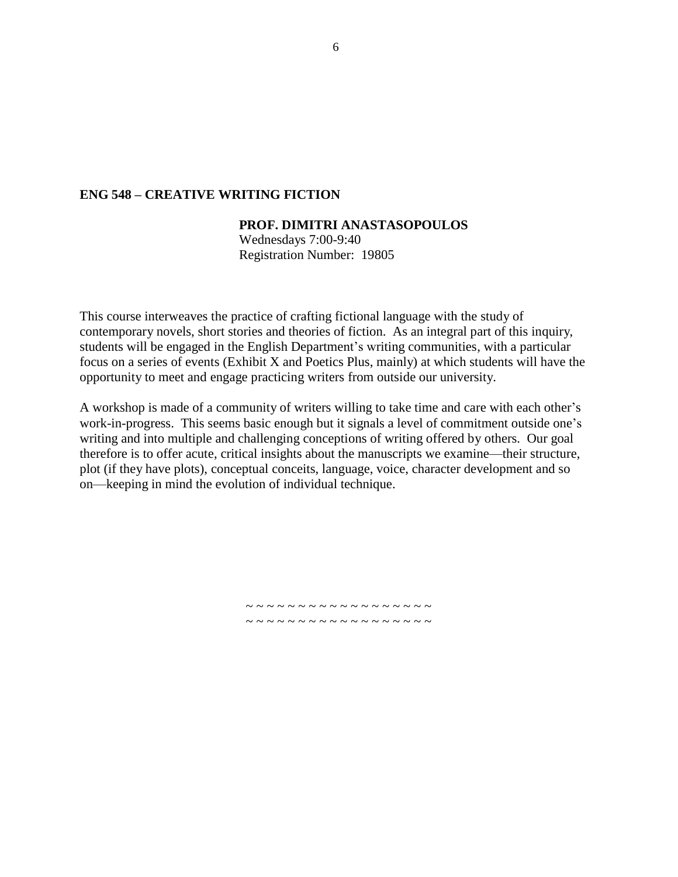#### **ENG 548 – CREATIVE WRITING FICTION**

#### **PROF. DIMITRI ANASTASOPOULOS**

Wednesdays 7:00-9:40 Registration Number: 19805

This course interweaves the practice of crafting fictional language with the study of contemporary novels, short stories and theories of fiction. As an integral part of this inquiry, students will be engaged in the English Department's writing communities, with a particular focus on a series of events (Exhibit X and Poetics Plus, mainly) at which students will have the opportunity to meet and engage practicing writers from outside our university.

A workshop is made of a community of writers willing to take time and care with each other's work-in-progress. This seems basic enough but it signals a level of commitment outside one's writing and into multiple and challenging conceptions of writing offered by others. Our goal therefore is to offer acute, critical insights about the manuscripts we examine—their structure, plot (if they have plots), conceptual conceits, language, voice, character development and so on—keeping in mind the evolution of individual technique.

> ~ ~ ~ ~ ~ ~ ~ ~ ~ ~ ~ ~ ~ ~ ~ ~ ~ ~ ~ ~ ~ ~ ~ ~ ~ ~ ~ ~ ~ ~ ~ ~ ~ ~ ~ ~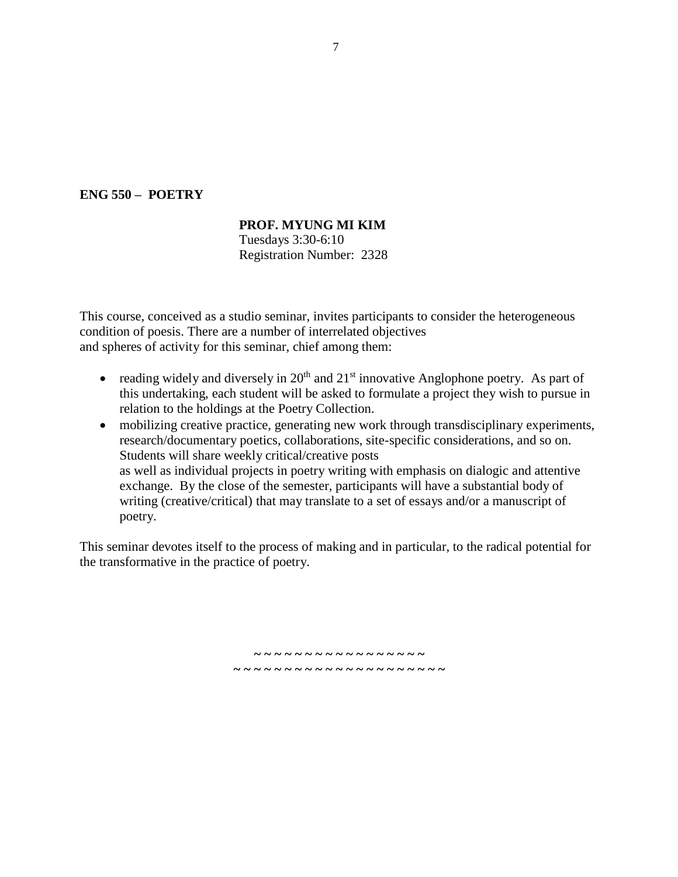## **ENG 550 – POETRY**

## **PROF. MYUNG MI KIM**

Tuesdays 3:30-6:10 Registration Number: 2328

This course, conceived as a studio seminar, invites participants to consider the heterogeneous condition of poesis. There are a number of interrelated objectives and spheres of activity for this seminar, chief among them:

- reading widely and diversely in  $20<sup>th</sup>$  and  $21<sup>st</sup>$  innovative Anglophone poetry. As part of this undertaking, each student will be asked to formulate a project they wish to pursue in relation to the holdings at the Poetry Collection.
- mobilizing creative practice, generating new work through transdisciplinary experiments, research/documentary poetics, collaborations, site-specific considerations, and so on. Students will share weekly critical/creative posts as well as individual projects in poetry writing with emphasis on dialogic and attentive exchange. By the close of the semester, participants will have a substantial body of writing (creative/critical) that may translate to a set of essays and/or a manuscript of poetry.

This seminar devotes itself to the process of making and in particular, to the radical potential for the transformative in the practice of poetry.

> **~ ~ ~ ~ ~ ~ ~ ~ ~ ~ ~ ~ ~ ~ ~ ~ ~ ~ ~ ~ ~ ~ ~ ~ ~ ~ ~ ~ ~ ~ ~ ~ ~ ~ ~ ~ ~ ~**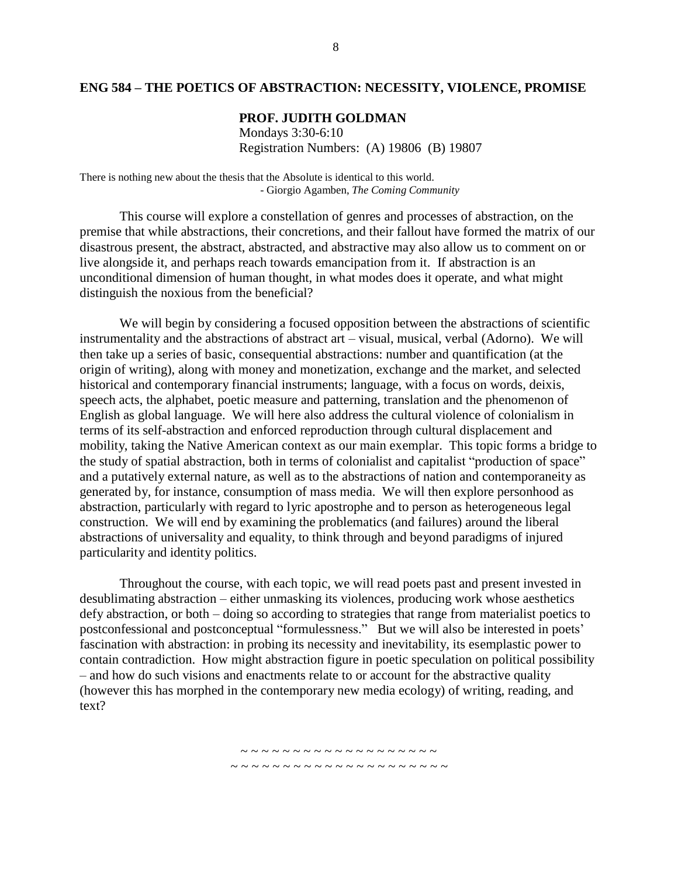#### **ENG 584 – THE POETICS OF ABSTRACTION: NECESSITY, VIOLENCE, PROMISE**

#### **PROF. JUDITH GOLDMAN**

Mondays 3:30-6:10 Registration Numbers: (A) 19806 (B) 19807

There is nothing new about the thesis that the Absolute is identical to this world. - Giorgio Agamben, *The Coming Community*

This course will explore a constellation of genres and processes of abstraction, on the premise that while abstractions, their concretions, and their fallout have formed the matrix of our disastrous present, the abstract, abstracted, and abstractive may also allow us to comment on or live alongside it, and perhaps reach towards emancipation from it. If abstraction is an unconditional dimension of human thought, in what modes does it operate, and what might distinguish the noxious from the beneficial?

We will begin by considering a focused opposition between the abstractions of scientific instrumentality and the abstractions of abstract art – visual, musical, verbal (Adorno). We will then take up a series of basic, consequential abstractions: number and quantification (at the origin of writing), along with money and monetization, exchange and the market, and selected historical and contemporary financial instruments; language, with a focus on words, deixis, speech acts, the alphabet, poetic measure and patterning, translation and the phenomenon of English as global language. We will here also address the cultural violence of colonialism in terms of its self-abstraction and enforced reproduction through cultural displacement and mobility, taking the Native American context as our main exemplar. This topic forms a bridge to the study of spatial abstraction, both in terms of colonialist and capitalist "production of space" and a putatively external nature, as well as to the abstractions of nation and contemporaneity as generated by, for instance, consumption of mass media. We will then explore personhood as abstraction, particularly with regard to lyric apostrophe and to person as heterogeneous legal construction. We will end by examining the problematics (and failures) around the liberal abstractions of universality and equality, to think through and beyond paradigms of injured particularity and identity politics.

Throughout the course, with each topic, we will read poets past and present invested in desublimating abstraction – either unmasking its violences, producing work whose aesthetics defy abstraction, or both – doing so according to strategies that range from materialist poetics to postconfessional and postconceptual "formulessness." But we will also be interested in poets' fascination with abstraction: in probing its necessity and inevitability, its esemplastic power to contain contradiction. How might abstraction figure in poetic speculation on political possibility – and how do such visions and enactments relate to or account for the abstractive quality (however this has morphed in the contemporary new media ecology) of writing, reading, and text?

~ ~ ~ ~ ~ ~ ~ ~ ~ ~ ~ ~ ~ ~ ~ ~ ~ ~ ~ ~ ~

~ ~ ~ ~ ~ ~ ~ ~ ~ ~ ~ ~ ~ ~ ~ ~ ~ ~ ~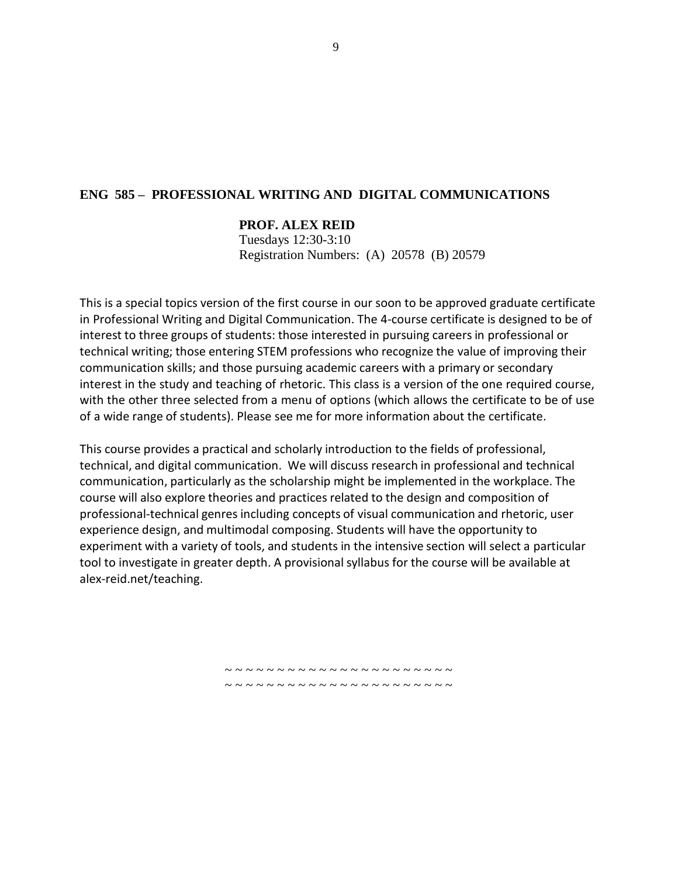## **ENG 585 – PROFESSIONAL WRITING AND DIGITAL COMMUNICATIONS**

## **PROF. ALEX REID**

Tuesdays 12:30-3:10 Registration Numbers: (A) 20578 (B) 20579

This is a special topics version of the first course in our soon to be approved graduate certificate in Professional Writing and Digital Communication. The 4-course certificate is designed to be of interest to three groups of students: those interested in pursuing careers in professional or technical writing; those entering STEM professions who recognize the value of improving their communication skills; and those pursuing academic careers with a primary or secondary interest in the study and teaching of rhetoric. This class is a version of the one required course, with the other three selected from a menu of options (which allows the certificate to be of use of a wide range of students). Please see me for more information about the certificate.

This course provides a practical and scholarly introduction to the fields of professional, technical, and digital communication. We will discuss research in professional and technical communication, particularly as the scholarship might be implemented in the workplace. The course will also explore theories and practices related to the design and composition of professional-technical genres including concepts of visual communication and rhetoric, user experience design, and multimodal composing. Students will have the opportunity to experiment with a variety of tools, and students in the intensive section will select a particular tool to investigate in greater depth. A provisional syllabus for the course will be available at alex-reid.net/teaching.

> ~ ~ ~ ~ ~ ~ ~ ~ ~ ~ ~ ~ ~ ~ ~ ~ ~ ~ ~ ~ ~ ~ ~ ~ ~ ~ ~ ~ ~ ~ ~ ~ ~ ~ ~ ~ ~ ~ ~ ~ ~ ~ ~ ~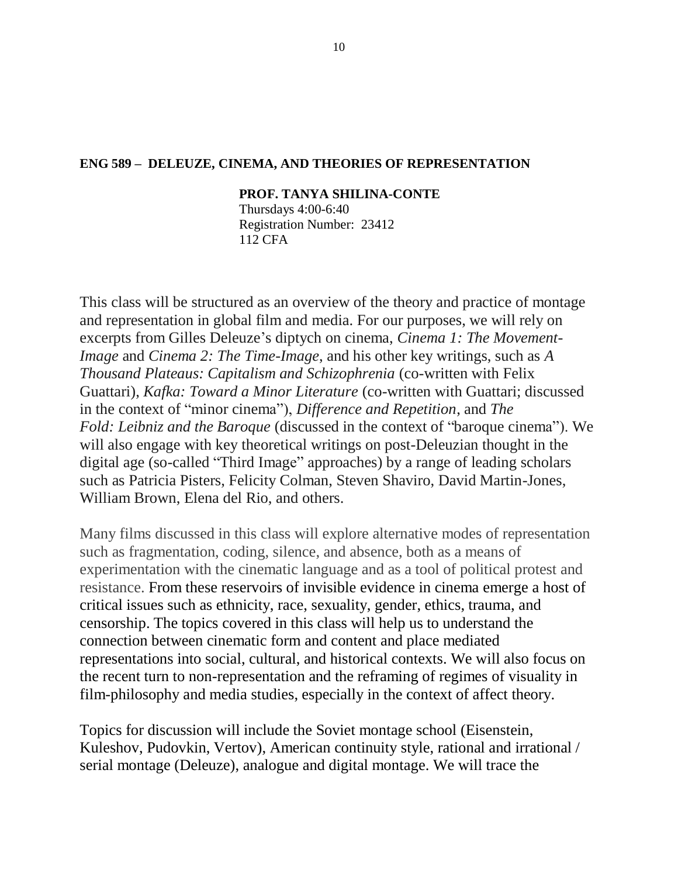## **ENG 589 – DELEUZE, CINEMA, AND THEORIES OF REPRESENTATION**

#### **PROF. TANYA SHILINA-CONTE**

Thursdays 4:00-6:40 Registration Number: 23412 112 CFA

This class will be structured as an overview of the theory and practice of montage and representation in global film and media. For our purposes, we will rely on excerpts from Gilles Deleuze's diptych on cinema, *Cinema 1: The Movement-Image* and *Cinema 2: The Time-Image*, and his other key writings, such as *A Thousand Plateaus: Capitalism and Schizophrenia* (co-written with Felix Guattari), *Kafka: Toward a Minor Literature* (co-written with Guattari; discussed in the context of "minor cinema"), *Difference and Repetition*, and *The Fold: Leibniz and the Baroque* (discussed in the context of "baroque cinema"). We will also engage with key theoretical writings on post-Deleuzian thought in the digital age (so-called "Third Image" approaches) by a range of leading scholars such as Patricia Pisters, Felicity Colman, Steven Shaviro, David Martin-Jones, William Brown, Elena del Rio, and others.

Many films discussed in this class will explore alternative modes of representation such as fragmentation, coding, silence, and absence, both as a means of experimentation with the cinematic language and as a tool of political protest and resistance. From these reservoirs of invisible evidence in cinema emerge a host of critical issues such as ethnicity, race, sexuality, gender, ethics, trauma, and censorship. The topics covered in this class will help us to understand the connection between cinematic form and content and place mediated representations into social, cultural, and historical contexts. We will also focus on the recent turn to non-representation and the reframing of regimes of visuality in film-philosophy and media studies, especially in the context of affect theory.

Topics for discussion will include the Soviet montage school (Eisenstein, Kuleshov, Pudovkin, Vertov), American continuity style, rational and irrational / serial montage (Deleuze), analogue and digital montage. We will trace the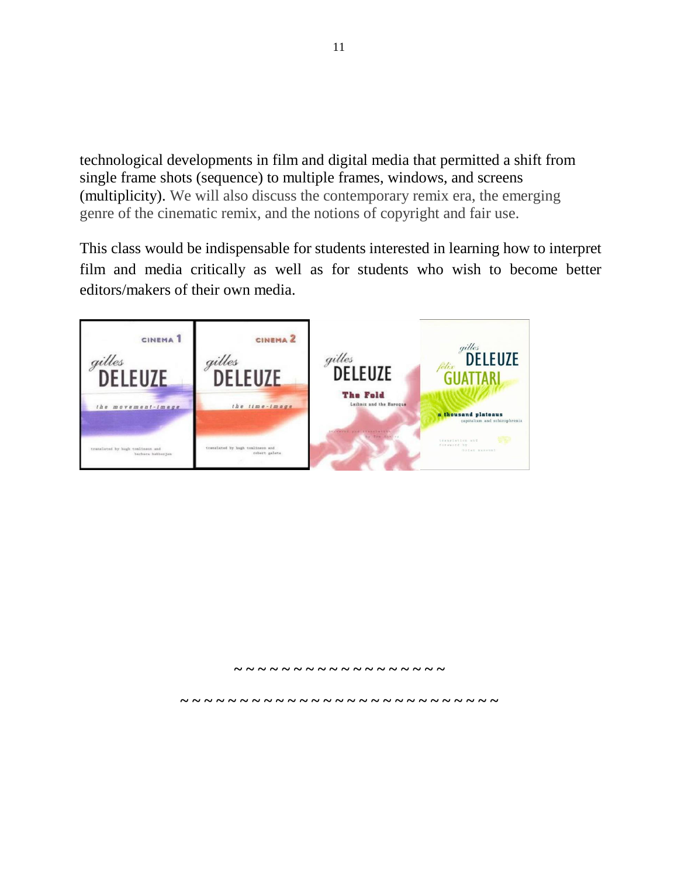technological developments in film and digital media that permitted a shift from single frame shots (sequence) to multiple frames, windows, and screens (multiplicity). We will also discuss the contemporary remix era, the emerging genre of the cinematic remix, and the notions of copyright and fair use.

This class would be indispensable for students interested in learning how to interpret film and media critically as well as for students who wish to become better editors/makers of their own media.



**~ ~ ~ ~ ~ ~ ~ ~ ~ ~ ~ ~ ~ ~ ~ ~ ~ ~**

**~ ~ ~ ~ ~ ~ ~ ~ ~ ~ ~ ~ ~ ~ ~ ~ ~ ~ ~ ~ ~ ~ ~ ~ ~ ~ ~**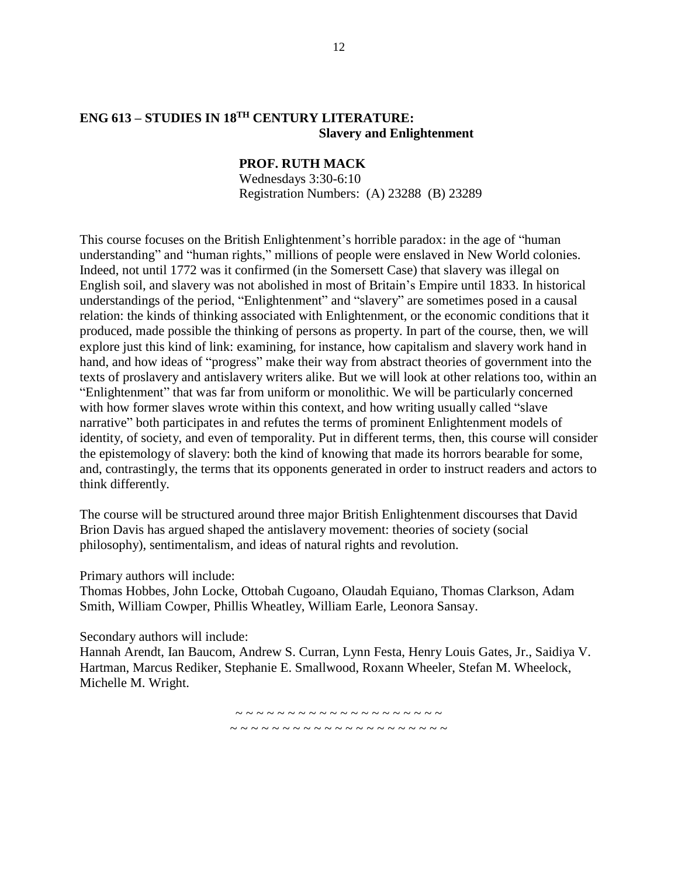## **ENG 613 – STUDIES IN 18 TH CENTURY LITERATURE: Slavery and Enlightenment**

## **PROF. RUTH MACK**

Wednesdays 3:30-6:10 Registration Numbers: (A) 23288 (B) 23289

This course focuses on the British Enlightenment's horrible paradox: in the age of "human understanding" and "human rights," millions of people were enslaved in New World colonies. Indeed, not until 1772 was it confirmed (in the Somersett Case) that slavery was illegal on English soil, and slavery was not abolished in most of Britain's Empire until 1833. In historical understandings of the period, "Enlightenment" and "slavery" are sometimes posed in a causal relation: the kinds of thinking associated with Enlightenment, or the economic conditions that it produced, made possible the thinking of persons as property. In part of the course, then, we will explore just this kind of link: examining, for instance, how capitalism and slavery work hand in hand, and how ideas of "progress" make their way from abstract theories of government into the texts of proslavery and antislavery writers alike. But we will look at other relations too, within an "Enlightenment" that was far from uniform or monolithic. We will be particularly concerned with how former slaves wrote within this context, and how writing usually called "slave narrative" both participates in and refutes the terms of prominent Enlightenment models of identity, of society, and even of temporality. Put in different terms, then, this course will consider the epistemology of slavery: both the kind of knowing that made its horrors bearable for some, and, contrastingly, the terms that its opponents generated in order to instruct readers and actors to think differently.

The course will be structured around three major British Enlightenment discourses that David Brion Davis has argued shaped the antislavery movement: theories of society (social philosophy), sentimentalism, and ideas of natural rights and revolution.

Primary authors will include:

Thomas Hobbes, John Locke, Ottobah Cugoano, Olaudah Equiano, Thomas Clarkson, Adam Smith, William Cowper, Phillis Wheatley, William Earle, Leonora Sansay.

Secondary authors will include:

Hannah Arendt, Ian Baucom, Andrew S. Curran, Lynn Festa, Henry Louis Gates, Jr., Saidiya V. Hartman, Marcus Rediker, Stephanie E. Smallwood, Roxann Wheeler, Stefan M. Wheelock, Michelle M. Wright.

~ ~ ~ ~ ~ ~ ~ ~ ~ ~ ~ ~ ~ ~ ~ ~ ~ ~ ~ ~

~ ~ ~ ~ ~ ~ ~ ~ ~ ~ ~ ~ ~ ~ ~ ~ ~ ~ ~ ~ ~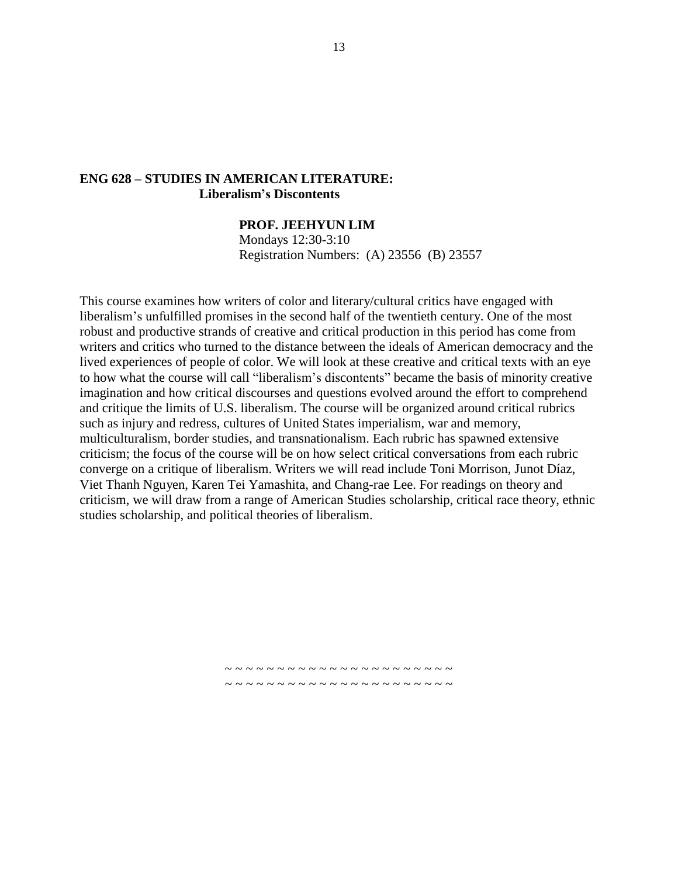#### **ENG 628 – STUDIES IN AMERICAN LITERATURE: Liberalism's Discontents**

#### **PROF. JEEHYUN LIM**

Mondays 12:30-3:10 Registration Numbers: (A) 23556 (B) 23557

This course examines how writers of color and literary/cultural critics have engaged with liberalism's unfulfilled promises in the second half of the twentieth century. One of the most robust and productive strands of creative and critical production in this period has come from writers and critics who turned to the distance between the ideals of American democracy and the lived experiences of people of color. We will look at these creative and critical texts with an eye to how what the course will call "liberalism's discontents" became the basis of minority creative imagination and how critical discourses and questions evolved around the effort to comprehend and critique the limits of U.S. liberalism. The course will be organized around critical rubrics such as injury and redress, cultures of United States imperialism, war and memory, multiculturalism, border studies, and transnationalism. Each rubric has spawned extensive criticism; the focus of the course will be on how select critical conversations from each rubric converge on a critique of liberalism. Writers we will read include Toni Morrison, Junot Díaz, Viet Thanh Nguyen, Karen Tei Yamashita, and Chang-rae Lee. For readings on theory and criticism, we will draw from a range of American Studies scholarship, critical race theory, ethnic studies scholarship, and political theories of liberalism.

> ~ ~ ~ ~ ~ ~ ~ ~ ~ ~ ~ ~ ~ ~ ~ ~ ~ ~ ~ ~ ~ ~ ~ ~ ~ ~ ~ ~ ~ ~ ~ ~ ~ ~ ~ ~ ~ ~ ~ ~ ~ ~ ~ ~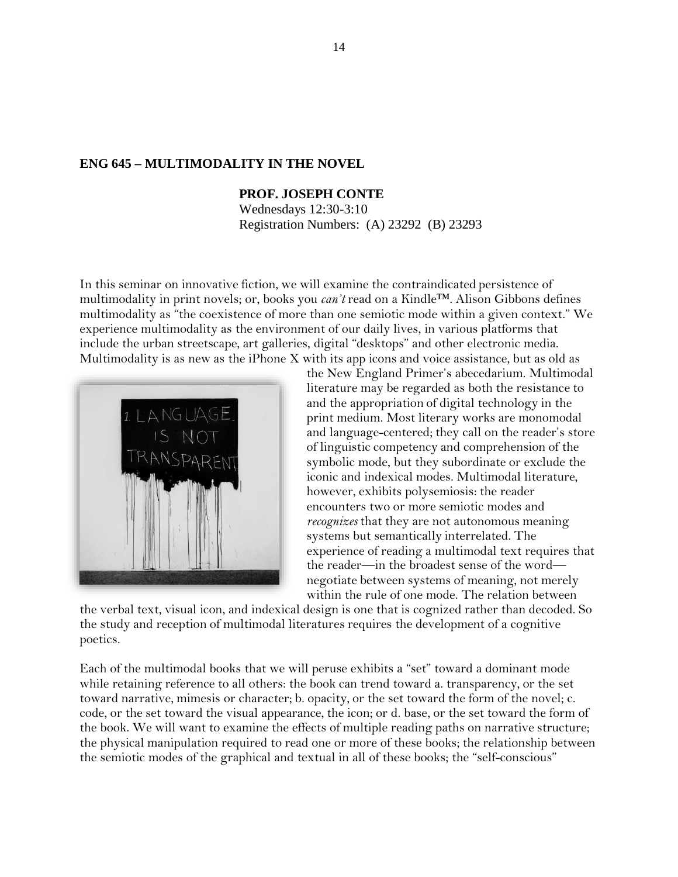#### **ENG 645 – MULTIMODALITY IN THE NOVEL**

#### **PROF. JOSEPH CONTE**

Wednesdays 12:30-3:10 Registration Numbers: (A) 23292 (B) 23293

In this seminar on innovative fiction, we will examine the contraindicated persistence of multimodality in print novels; or, books you *can't* read on a Kindle™. Alison Gibbons defines multimodality as "the coexistence of more than one semiotic mode within a given context." We experience multimodality as the environment of our daily lives, in various platforms that include the urban streetscape, art galleries, digital "desktops" and other electronic media. Multimodality is as new as the iPhone X with its app icons and voice assistance, but as old as



the New England Primer's abecedarium. Multimodal literature may be regarded as both the resistance to and the appropriation of digital technology in the print medium. Most literary works are monomodal and language-centered; they call on the reader's store of linguistic competency and comprehension of the symbolic mode, but they subordinate or exclude the iconic and indexical modes. Multimodal literature, however, exhibits polysemiosis: the reader encounters two or more semiotic modes and *recognizes* that they are not autonomous meaning systems but semantically interrelated. The experience of reading a multimodal text requires that the reader—in the broadest sense of the word negotiate between systems of meaning, not merely within the rule of one mode. The relation between

the verbal text, visual icon, and indexical design is one that is cognized rather than decoded. So the study and reception of multimodal literatures requires the development of a cognitive poetics.

Each of the multimodal books that we will peruse exhibits a "set" toward a dominant mode while retaining reference to all others: the book can trend toward a. transparency, or the set toward narrative, mimesis or character; b. opacity, or the set toward the form of the novel; c. code, or the set toward the visual appearance, the icon; or d. base, or the set toward the form of the book. We will want to examine the effects of multiple reading paths on narrative structure; the physical manipulation required to read one or more of these books; the relationship between the semiotic modes of the graphical and textual in all of these books; the "self-conscious"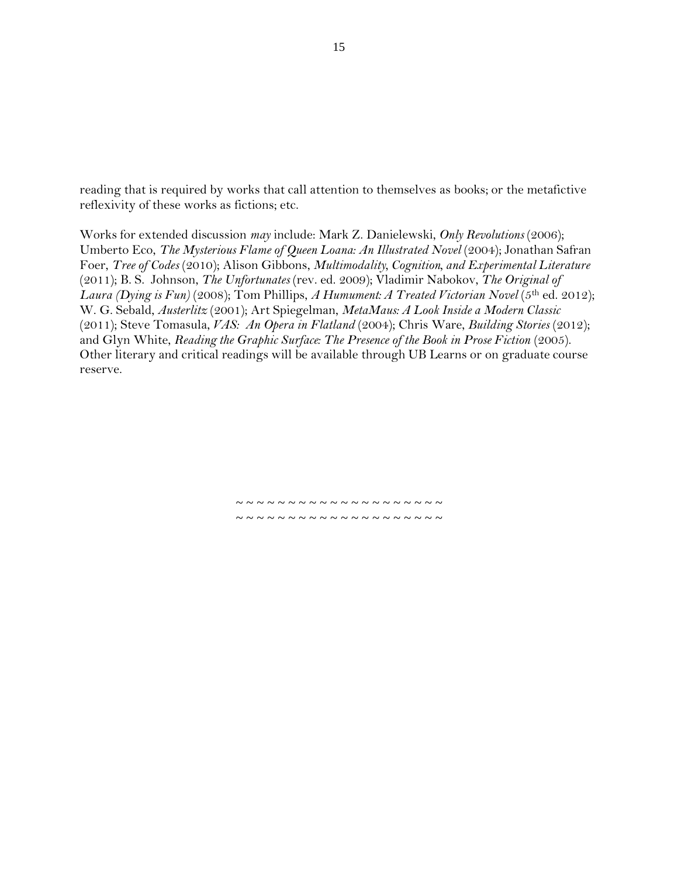reading that is required by works that call attention to themselves as books; or the metafictive reflexivity of these works as fictions; etc.

Works for extended discussion *may* include: Mark Z. Danielewski, *Only Revolutions* (2006); Umberto Eco, *The Mysterious Flame of Queen Loana: An Illustrated Novel* (2004); Jonathan Safran Foer, *Tree of Codes* (2010); Alison Gibbons, *Multimodality, Cognition, and Experimental Literature*  (2011); B. S. Johnson, *The Unfortunates* (rev. ed. 2009); Vladimir Nabokov, *The Original of Laura (Dying is Fun)* (2008); Tom Phillips, *A Humument: A Treated Victorian Novel* (5th ed. 2012); W. G. Sebald, *Austerlitz* (2001); Art Spiegelman, *MetaMaus: A Look Inside a Modern Classic*  (2011); Steve Tomasula, *VAS: An Opera in Flatland* (2004); Chris Ware, *Building Stories* (2012); and Glyn White, *Reading the Graphic Surface: The Presence of the Book in Prose Fiction* (2005). Other literary and critical readings will be available through UB Learns or on graduate course reserve.

> ~ ~ ~ ~ ~ ~ ~ ~ ~ ~ ~ ~ ~ ~ ~ ~ ~ ~ ~ ~ ~ ~ ~ ~ ~ ~ ~ ~ ~ ~ ~ ~ ~ ~ ~ ~ ~ ~ ~ ~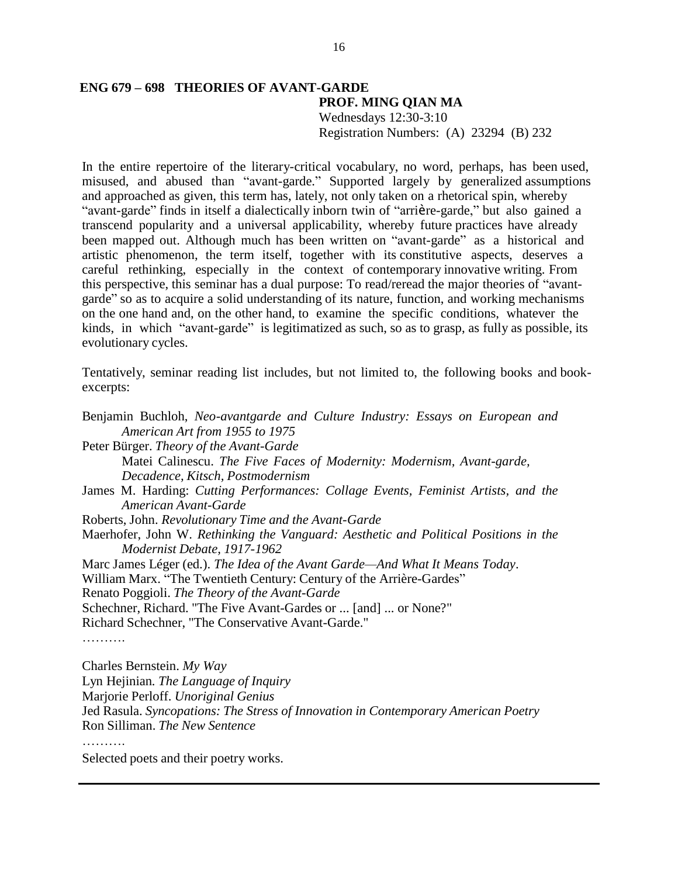#### **ENG 679 – 698 THEORIES OF AVANT-GARDE PROF. MING QIAN MA** Wednesdays 12:30-3:10 Registration Numbers: (A) 23294 (B) 232

In the entire repertoire of the literary-critical vocabulary, no word, perhaps, has been used, misused, and abused than "avant-garde." Supported largely by generalized assumptions and approached as given, this term has, lately, not only taken on a rhetorical spin, whereby "avant-garde" finds in itself a dialectically inborn twin of "arrière-garde," but also gained a transcend popularity and a universal applicability, whereby future practices have already been mapped out. Although much has been written on "avant-garde" as a historical and artistic phenomenon, the term itself, together with its constitutive aspects, deserves a careful rethinking, especially in the context of contemporary innovative writing. From this perspective, this seminar has a dual purpose: To read/reread the major theories of "avantgarde" so as to acquire a solid understanding of its nature, function, and working mechanisms on the one hand and, on the other hand, to examine the specific conditions, whatever the kinds, in which "avant-garde" is legitimatized as such, so as to grasp, as fully as possible, its evolutionary cycles.

Tentatively, seminar reading list includes, but not limited to, the following books and bookexcerpts:

Benjamin Buchloh, *Neo-avantgarde and Culture Industry: Essays on European and American Art from 1955 to 1975* Peter Bürger. *Theory of the Avant-Garde* Matei Calinescu. *The Five Faces of Modernity: Modernism, Avant-garde, Decadence, Kitsch, Postmodernism* James M. Harding: *Cutting Performances: Collage Events, Feminist Artists, and the American Avant-Garde* Roberts, John. *Revolutionary Time and the Avant-Garde* Maerhofer, John W. *Rethinking the Vanguard: Aesthetic and Political Positions in the Modernist Debate, 1917-1962* Marc James Léger (ed.). *The Idea of the Avant Garde—And What It Means Today*. William Marx. "The Twentieth Century: Century of the Arrière-Gardes" Renato Poggioli. *The Theory of the Avant-Garde* Schechner, Richard. "The Five Avant-Gardes or ... [and] ... or None?" Richard Schechner, "The Conservative Avant-Garde." ………. Charles Bernstein. *My Way* Lyn Hejinian*. The Language of Inquiry* Marjorie Perloff. *Unoriginal Genius* Jed Rasula. *Syncopations: The Stress of Innovation in Contemporary American Poetry*

Ron Silliman. *The New Sentence*

……

Selected poets and their poetry works.